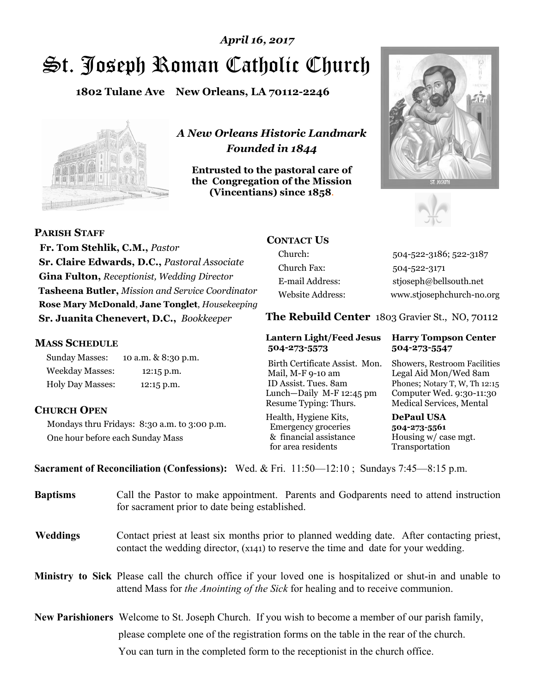# St. Joseph Roman Catholic Church *April 16, 2017*

**1802 Tulane Ave New Orleans, LA 70112-2246**



*A New Orleans Historic Landmark Founded in 1844* 

**Entrusted to the pastoral care of the Congregation of the Mission (Vincentians) since 1858**.





**PARISH STAFF**

 **Fr. Tom Stehlik, C.M.,** *Pastor* **Sr. Claire Edwards, D.C.,** *Pastoral Associate* **Gina Fulton,** *Receptionist, Wedding Director* **Tasheena Butler,** *Mission and Service Coordinator* **Rose Mary McDonald**, **Jane Tonglet**, *Housekeeping* **Sr. Juanita Chenevert, D.C.,** *Bookkeeper* 

#### **MASS SCHEDULE**

Sunday Masses: 10 a.m. & 8:30 p.m. Weekday Masses: 12:15 p.m. Holy Day Masses: 12:15 p.m.

### **CHURCH OPEN**

Mondays thru Fridays: 8:30 a.m. to 3:00 p.m. One hour before each Sunday Mass

# **CONTACT US**

Church: 504-522-3186; 522-3187 Church Fax: 504-522-3171 E-mail Address: stjoseph@bellsouth.net Website Address: www.stjosephchurch-no.org

**The Rebuild Center** 1803 Gravier St., NO, 70112

#### **Lantern Light/Feed Jesus Harry Tompson Center 504-273-5573 504-273-5547**

Birth Certificate Assist. Mon. Showers, Restroom Facilities Mail, M-F 9-10 am Legal Aid Mon/Wed 8am ID Assist. Tues. 8am Phones; Notary T, W, Th 12:15 Lunch—Daily M-F 12:45 pm Computer Wed. 9:30-11:30 Resume Typing: Thurs. Medical Services, Mental

Health, Hygiene Kits, **DePaul USA**  Emergency groceries **504-273-5561** & financial assistance Housing w/ case mgt.<br>for area residents Transportation for area residents

**Sacrament of Reconciliation (Confessions):** Wed. & Fri. 11:50—12:10 ; Sundays 7:45—8:15 p.m.

| <b>Baptisms</b> | Call the Pastor to make appointment. Parents and Godparents need to attend instruction<br>for sacrament prior to date being established.                                                                   |  |
|-----------------|------------------------------------------------------------------------------------------------------------------------------------------------------------------------------------------------------------|--|
| <b>Weddings</b> | Contact priest at least six months prior to planned wedding date. After contacting priest,<br>contact the wedding director, (x141) to reserve the time and date for your wedding.                          |  |
|                 | <b>Ministry to Sick</b> Please call the church office if your loved one is hospitalized or shut-in and unable to<br>attend Mass for <i>the Anointing of the Sick</i> for healing and to receive communion. |  |
|                 | <b>New Parishioners</b> Welcome to St. Joseph Church. If you wish to become a member of our parish family,                                                                                                 |  |
|                 | please complete one of the registration forms on the table in the rear of the church.                                                                                                                      |  |
|                 | You can turn in the completed form to the receptionist in the church office.                                                                                                                               |  |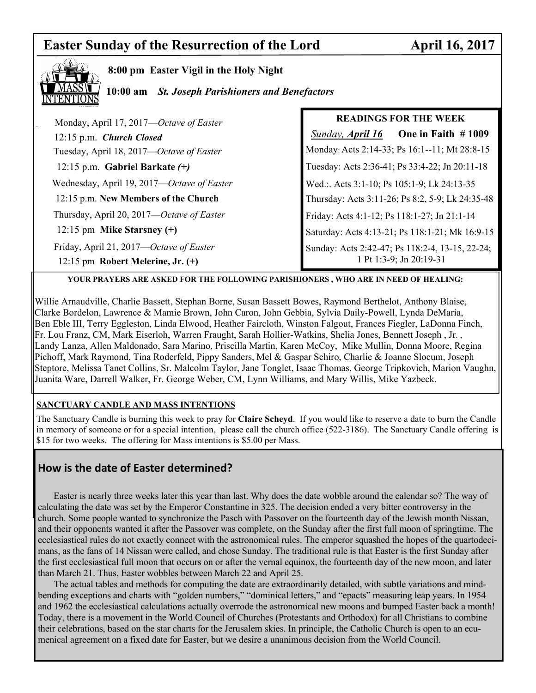# **Easter Sunday of the Resurrection of the Lord April 16, 2017**



**8:00 pm Easter Vigil in the Holy Night** 

**10:00 am** *St. Joseph Parishioners and Benefactors* 

| Monday, April 17, 2017—Octave of Easter    | <b>READINGS FOR THE WEEK</b>                     |  |
|--------------------------------------------|--------------------------------------------------|--|
| 12:15 p.m. Church Closed                   | One in Faith $#1009$<br><b>Sunday, April 16</b>  |  |
| Tuesday, April 18, 2017—Octave of Easter   | Monday: Acts 2:14-33; Ps 16:1--11; Mt 28:8-15    |  |
| 12:15 p.m. Gabriel Barkate $(+)$           | Tuesday: Acts 2:36-41; Ps 33:4-22; Jn 20:11-18   |  |
| Wednesday, April 19, 2017—Octave of Easter | Wed.:. Acts 3:1-10; Ps 105:1-9; Lk 24:13-35      |  |
| 12:15 p.m. New Members of the Church       | Thursday: Acts 3:11-26; Ps 8:2, 5-9; Lk 24:35-48 |  |
| Thursday, April 20, 2017—Octave of Easter  | Friday: Acts 4:1-12; Ps 118:1-27; Jn 21:1-14     |  |
| 12:15 pm Mike Starsney $(+)$               | Saturday: Acts 4:13-21; Ps 118:1-21; Mk 16:9-15  |  |
| Friday, April 21, 2017—Octave of Easter    | Sunday: Acts 2:42-47; Ps 118:2-4, 13-15, 22-24;  |  |
| 12:15 pm Robert Melerine, Jr. $(+)$        | 1 Pt 1:3-9; Jn 20:19-31                          |  |

#### **YOUR PRAYERS ARE ASKED FOR THE FOLLOWING PARISHIONERS , WHO ARE IN NEED OF HEALING:**

Willie Arnaudville, Charlie Bassett, Stephan Borne, Susan Bassett Bowes, Raymond Berthelot, Anthony Blaise, Clarke Bordelon, Lawrence & Mamie Brown, John Caron, John Gebbia, Sylvia Daily-Powell, Lynda DeMaria, Ben Eble III, Terry Eggleston, Linda Elwood, Heather Faircloth, Winston Falgout, Frances Fiegler, LaDonna Finch, Fr. Lou Franz, CM, Mark Eiserloh, Warren Fraught, Sarah Hollier-Watkins, Shelia Jones, Bennett Joseph , Jr. , Landy Lanza, Allen Maldonado, Sara Marino, Priscilla Martin, Karen McCoy, Mike Mullin, Donna Moore, Regina Pichoff, Mark Raymond, Tina Roderfeld, Pippy Sanders, Mel & Gaspar Schiro, Charlie & Joanne Slocum, Joseph Steptore, Melissa Tanet Collins, Sr. Malcolm Taylor, Jane Tonglet, Isaac Thomas, George Tripkovich, Marion Vaughn, Juanita Ware, Darrell Walker, Fr. George Weber, CM, Lynn Williams, and Mary Willis, Mike Yazbeck.

### **SANCTUARY CANDLE AND MASS INTENTIONS**

The Sanctuary Candle is burning this week to pray for **Claire Scheyd**. If you would like to reserve a date to burn the Candle in memory of someone or for a special intention, please call the church office (522-3186). The Sanctuary Candle offering is \$15 for two weeks. The offering for Mass intentions is \$5.00 per Mass.

# **How is the date of Easter determined?**

 Easter is nearly three weeks later this year than last. Why does the date wobble around the calendar so? The way of calculating the date was set by the Emperor Constantine in 325. The decision ended a very bitter controversy in the church. Some people wanted to synchronize the Pasch with Passover on the fourteenth day of the Jewish month Nissan, and their opponents wanted it after the Passover was complete, on the Sunday after the first full moon of springtime. The ecclesiastical rules do not exactly connect with the astronomical rules. The emperor squashed the hopes of the quartodecimans, as the fans of 14 Nissan were called, and chose Sunday. The traditional rule is that Easter is the first Sunday after the first ecclesiastical full moon that occurs on or after the vernal equinox, the fourteenth day of the new moon, and later than March 21. Thus, Easter wobbles between March 22 and April 25.

 The actual tables and methods for computing the date are extraordinarily detailed, with subtle variations and mindbending exceptions and charts with "golden numbers," "dominical letters," and "epacts" measuring leap years. In 1954 and 1962 the ecclesiastical calculations actually overrode the astronomical new moons and bumped Easter back a month! Today, there is a movement in the World Council of Churches (Protestants and Orthodox) for all Christians to combine their celebrations, based on the star charts for the Jerusalem skies. In principle, the Catholic Church is open to an ecumenical agreement on a fixed date for Easter, but we desire a unanimous decision from the World Council.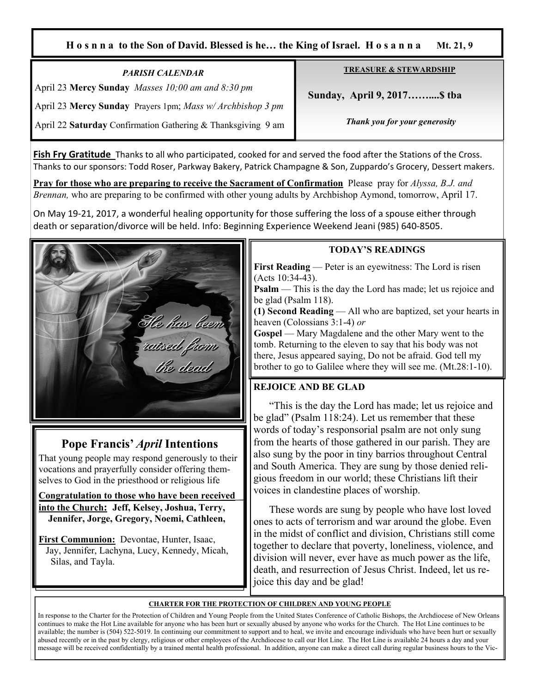#### **H o s n n a to the Son of David. Blessed is he… the King of Israel. H o s a n n a Mt. 21, 9**

#### *PARISH CALENDAR*  April 23 **Mercy Sunday** *Masses 10;00 am and 8:30 pm*

April 23 **Mercy Sunday** Prayers 1pm; *Mass w/ Archbishop 3 pm*

April 22 **Saturday** Confirmation Gathering & Thanksgiving 9 am

**TREASURE & STEWARDSHIP**

 **Sunday, April 9, 2017……....\$ tba**

*Thank you for your generosity* 

**Fish Fry Gratitude** Thanks to all who participated, cooked for and served the food after the Stations of the Cross. Thanks to our sponsors: Todd Roser, Parkway Bakery, Patrick Champagne & Son, Zuppardo's Grocery, Dessert makers.

**Pray for those who are preparing to receive the Sacrament of Confirmation** Please pray for *Alyssa, B.J. and Brennan,* who are preparing to be confirmed with other young adults by Archbishop Aymond, tomorrow, April 17.

On May 19-21, 2017, a wonderful healing opportunity for those suffering the loss of a spouse either through death or separation/divorce will be held. Info: Beginning Experience Weekend Jeani (985) 640-8505.



# **Pope Francis'** *April* **Intentions**

That young people may respond generously to their vocations and prayerfully consider offering themselves to God in the priesthood or religious life

**Congratulation to those who have been received into the Church: Jeff, Kelsey, Joshua, Terry, Jennifer, Jorge, Gregory, Noemi, Cathleen,** 

**First Communion:** Devontae, Hunter, Isaac, Jay, Jennifer, Lachyna, Lucy, Kennedy, Micah, Silas, and Tayla.

### **TODAY'S READINGS**

**First Reading** — Peter is an eyewitness: The Lord is risen (Acts 10:34-43).

**Psalm** — This is the day the Lord has made; let us rejoice and be glad (Psalm 118).

**(1) Second Reading** — All who are baptized, set your hearts in heaven (Colossians 3:1-4) *or*

Gospel — Mary Magdalene and the other Mary went to the tomb. Returning to the eleven to say that his body was not there, Jesus appeared saying, Do not be afraid. God tell my brother to go to Galilee where they will see me. (Mt.28:1-10).

# **REJOICE AND BE GLAD**

 "This is the day the Lord has made; let us rejoice and be glad" (Psalm 118:24). Let us remember that these words of today's responsorial psalm are not only sung from the hearts of those gathered in our parish. They are also sung by the poor in tiny barrios throughout Central and South America. They are sung by those denied religious freedom in our world; these Christians lift their voices in clandestine places of worship.

 These words are sung by people who have lost loved ones to acts of terrorism and war around the globe. Even in the midst of conflict and division, Christians still come together to declare that poverty, loneliness, violence, and division will never, ever have as much power as the life, death, and resurrection of Jesus Christ. Indeed, let us rejoice this day and be glad!

### **CHARTER FOR THE PROTECTION OF CHILDREN AND YOUNG PEOPLE**

In response to the Charter for the Protection of Children and Young People from the United States Conference of Catholic Bishops, the Archdiocese of New Orleans continues to make the Hot Line available for anyone who has been hurt or sexually abused by anyone who works for the Church. The Hot Line continues to be available; the number is (504) 522-5019. In continuing our commitment to support and to heal, we invite and encourage individuals who have been hurt or sexually abused recently or in the past by clergy, religious or other employees of the Archdiocese to call our Hot Line. The Hot Line is available 24 hours a day and your message will be received confidentially by a trained mental health professional. In addition, anyone can make a direct call during regular business hours to the Vic-